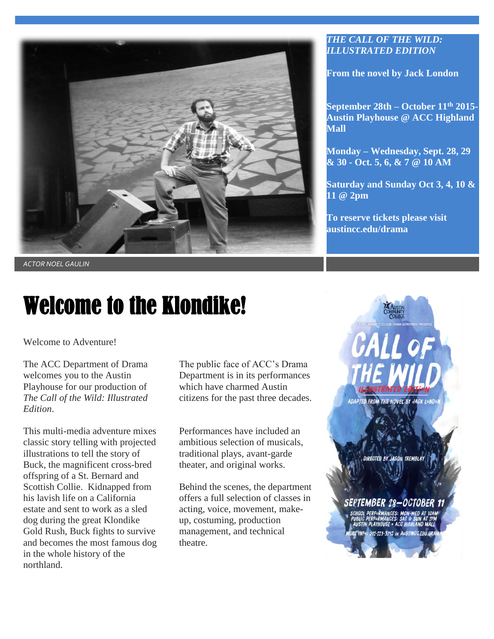

*ACTOR NOEL GAULIN*

## Welcome to the Klondike!

Welcome to Adventure!

The ACC Department of Drama welcomes you to the Austin Playhouse for our production of *The Call of the Wild: Illustrated Edition*.

This multi-media adventure mixes classic story telling with projected illustrations to tell the story of Buck, the magnificent cross-bred offspring of a St. Bernard and Scottish Collie. Kidnapped from his lavish life on a California estate and sent to work as a sled dog during the great Klondike Gold Rush, Buck fights to survive and becomes the most famous dog in the whole history of the northland.

The public face of ACC's Drama Department is in its performances which have charmed Austin citizens for the past three decades.

Performances have included an ambitious selection of musicals, traditional plays, avant-garde theater, and original works.

Behind the scenes, the department offers a full selection of classes in acting, voice, movement, makeup, costuming, production management, and technical theatre.

#### *THE CALL OF THE WILD: ILLUSTRATED EDITION*

**From the novel by Jack London**

**September 28th – October 11th 2015- Austin Playhouse @ ACC Highland Mall**

**Monday – Wednesday, Sept. 28, 29 & 30 - Oct. 5, 6, & 7 @ 10 AM**

**Saturday and Sunday Oct 3, 4, 10 & 11 @ 2pm**

**To reserve tickets please visit austincc.edu/drama**

ADAPTED FROM THE NOVEL BY JACK LONE

**IRECTED BY JASON TREMBLAY** 

#### SEPTEMBER 28–OCTOBER 1:

512-223-3245 OR AUSTINCC.EDU.DF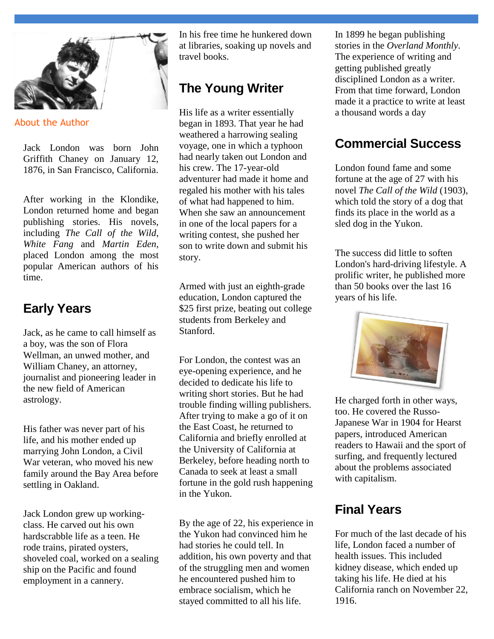

About the Author

Jack London was born John Griffith Chaney on January 12, 1876, in San Francisco, California.

After working in the Klondike, London returned home and began publishing stories. His novels, including *The Call of the Wild*, *White Fang* and *Martin Eden*, placed London among the most popular American authors of his time.

#### **Early Years**

Jack, as he came to call himself as a boy, was the son of Flora Wellman, an unwed mother, and William Chaney, an attorney, journalist and pioneering leader in the new field of American astrology.

His father was never part of his life, and his mother ended up marrying John London, a Civil War veteran, who moved his new family around the Bay Area before settling in Oakland.

Jack London grew up workingclass. He carved out his own hardscrabble life as a teen. He rode trains, pirated oysters, shoveled coal, worked on a sealing ship on the Pacific and found employment in a cannery.

In his free time he hunkered down at libraries, soaking up novels and travel books.

### **The Young Writer**

His life as a writer essentially began in 1893. That year he had weathered a harrowing sealing voyage, one in which a typhoon had nearly taken out London and his crew. The 17-year-old adventurer had made it home and regaled his mother with his tales of what had happened to him. When she saw an announcement in one of the local papers for a writing contest, she pushed her son to write down and submit his story.

Armed with just an eighth-grade education, London captured the \$25 first prize, beating out college students from Berkeley and Stanford.

For London, the contest was an eye-opening experience, and he decided to dedicate his life to writing short stories. But he had trouble finding willing publishers. After trying to make a go of it on the East Coast, he returned to California and briefly enrolled at the University of California at Berkeley, before heading north to Canada to seek at least a small fortune in the gold rush happening in the Yukon.

By the age of 22, his experience in the Yukon had convinced him he had stories he could tell. In addition, his own poverty and that of the struggling men and women he encountered pushed him to embrace socialism, which he stayed committed to all his life.

In 1899 he began publishing stories in the *Overland Monthly*. The experience of writing and getting published greatly disciplined London as a writer. From that time forward, London made it a practice to write at least a thousand words a day

## **Commercial Success**

London found fame and some fortune at the age of 27 with his novel *The Call of the Wild* (1903), which told the story of a dog that finds its place in the world as a sled dog in the Yukon.

The success did little to soften London's hard-driving lifestyle. A prolific writer, he published more than 50 books over the last 16 years of his life.



He charged forth in other ways, too. He covered the Russo-Japanese War in 1904 for Hearst papers, introduced American readers to Hawaii and the sport of surfing, and frequently lectured about the problems associated with capitalism.

### **Final Years**

For much of the last decade of his life, London faced a number of health issues. This included kidney disease, which ended up taking his life. He died at his California ranch on November 22, 1916.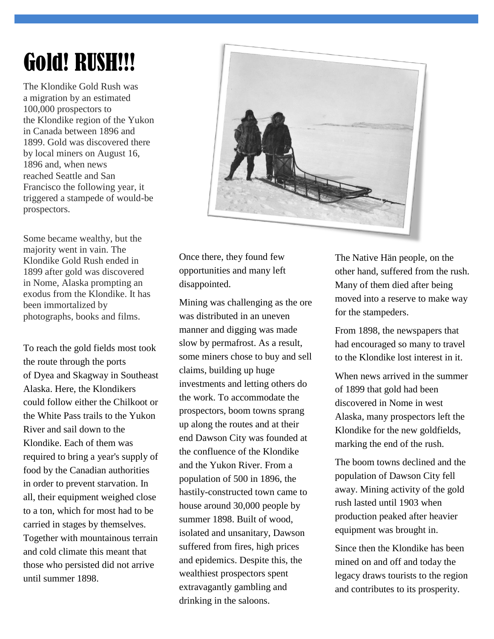# Gold! RUSH!!!

The Klondike Gold Rush was a [migration](https://en.wikipedia.org/wiki/Human_migration) by an estimated 100,000 prospectors to the [Klondike region](https://en.wikipedia.org/wiki/Klondike,_Yukon) of the Yukon in Canada between 1896 and 1899. [Gold](https://en.wikipedia.org/wiki/Gold) was discovered there by local miners on August 16, 1896 and, when news reached [Seattle](https://en.wikipedia.org/wiki/Seattle) and [San](https://en.wikipedia.org/wiki/San_Francisco)  [Francisco](https://en.wikipedia.org/wiki/San_Francisco) the following year, it triggered a stampede of would-be prospectors.

Some became wealthy, but the majority went in vain. The Klondike Gold Rush ended in 1899 after gold was discovered in [Nome,](https://en.wikipedia.org/wiki/Nome_Gold_Rush) [Alaska](https://en.wikipedia.org/wiki/Alaska) prompting an exodus from the Klondike. It has been immortalized by photographs, books and films.

To reach the gold fields most took the route through the ports of [Dyea](https://en.wikipedia.org/wiki/Dyea,_Alaska) and [Skagway](https://en.wikipedia.org/wiki/Skagway,_Alaska) in [Southeast](https://en.wikipedia.org/wiki/Southeast_Alaska)  [Alaska.](https://en.wikipedia.org/wiki/Southeast_Alaska) Here, the Klondikers could follow either the [Chilkoot](https://en.wikipedia.org/wiki/Chilkoot) or the [White Pass](https://en.wikipedia.org/wiki/White_Pass) trails to the [Yukon](https://en.wikipedia.org/wiki/Yukon_River)  [River](https://en.wikipedia.org/wiki/Yukon_River) and sail down to the Klondike. Each of them was required to bring a year's supply of food by the Canadian authorities in order to prevent starvation. In all, their equipment weighed close to a ton, which for most had to be carried in stages by themselves. Together with mountainous terrain and cold climate this meant that those who persisted did not arrive until summer 1898.



Once there, they found few opportunities and many left disappointed.

Mining was challenging as the ore was distributed in an uneven manner and digging was made slow by [permafrost.](https://en.wikipedia.org/wiki/Permafrost) As a result, some miners chose to buy and sell claims, building up huge investments and letting others do the work. To accommodate the prospectors, boom towns sprang up along the routes and at their end [Dawson City](https://en.wikipedia.org/wiki/Dawson_City) was founded at the confluence of the Klondike and the Yukon River. From a population of 500 in 1896, the hastily-constructed town came to house around 30,000 people by summer 1898. Built of wood, isolated and [unsanitary,](https://en.wikipedia.org/wiki/Sanitary) Dawson suffered from fires, high prices and [epidemics.](https://en.wikipedia.org/wiki/Epidemics) Despite this, the wealthiest prospectors spent extravagantly gambling and drinking in the [saloons.](https://en.wikipedia.org/wiki/Western_saloon)

The Native [Hän people,](https://en.wikipedia.org/wiki/H%C3%A4n_people) on the other hand, suffered from the rush. Many of them died after being moved into a [reserve](https://en.wikipedia.org/wiki/Indian_reserve) to make way for the stampeders.

From 1898, the newspapers that had encouraged so many to travel to the Klondike lost interest in it.

When news arrived in the summer of 1899 that gold had been discovered in Nome in west Alaska, many prospectors left the Klondike for the new goldfields, marking the end of the rush.

The boom towns declined and the population of Dawson City fell away. Mining activity of the gold rush lasted until 1903 when production peaked after heavier equipment was brought in.

Since then the Klondike has been mined on and off and today the legacy draws tourists to the region and contributes to its prosperity.